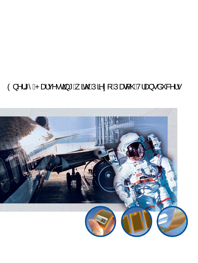# $\hat{Q}$ ) $\wedge$ |\*^ $\hat{A}P$ æç $\wedge \bullet$ c  $\vec{q}$  \* $\hat{A}$   $\tilde{a}$ QU $\tilde{A}$ 2) $\tilde{a}$  : [ $\hat{A}$ Jæ& $\hat{Q}$ A $\hat{A}$  $\theta$  $\bullet$   $\hat{a}$   $\tilde{a}$   $\tilde{a}$   $\tilde{a}$   $\tilde{b}$

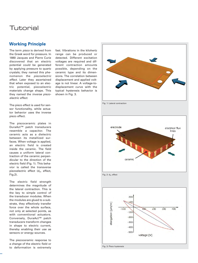## Tutorial

### **Working Principle**

The term *piezo* is derived from the Greek word for pressure. In 1880 Jacques and Pierre Curie discovered that an electric potential could be generated by applying pressure to quartz crystals; they named this phenomenon the *piezoelectric effect.* Later they ascertained that when exposed to an electric potential, piezoelectric materials change shape. This they named the *inverse piezoelectric effect.*

The piezo effect is used for sensor functionality, while actuator behavior uses the inverse piezo effect.

The piezoceramic plates in DuraAct™ patch transducers resemble a capacitor. The ceramic acts as a dielectric between its metallized surfaces. When voltage is applied, an electric field is created inside the ceramic. The field causes a uniform lateral contraction of the ceramic perpendicular to the direction of the electric field (Fig. 1). This behavior is called the transverse piezoelectric effect  $(d_{21}$  effect, Fig.2).

The electric field strength determines the magnitude of the lateral contraction. This is the key to simple control of the transducer modules. When the modules are glued to a substrate, they effectively transfer force over the whole surface, not only at selected points, as with conventional actuators. Conversely, DuraAct™ patch transducers transform changes in shape to electric current, thereby enabling their use as sensors or energy sources.

The piezoceramic response to a change of the electric field or to deformation is extremely fast. Vibrations in the kilohertz range can be produced or detected. Different excitation voltages are required and different contraction amounts possible, depending on the ceramic type and its dimensions. The correlation between displacement and applied voltage is not linear. A voltage-todisplacement curve with the typical hysteresis behavior is shown in Fig. 3.



Fig. 1: Lateral contraction



Fig. 2:  $d_{31}$  effect

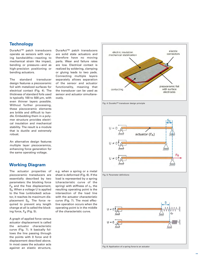### **Technology**

DuraAct™ patch transducers operate as sensors with varying bandwidths—reacting to mechanical strain like impact, bending or pressure—and as high-precision positioning or bending actuators.

The standard transducer design features a piezoceramic foil with metalized surfaces for electrical contact (Fig. 4). The thickness of standard foils used is typically 100 to 500 µm, with even thinner layers possible. Without further processing, these piezoceramic elements are brittle and difficult to handle. Embedding them in a polymer structure provides electrical insulation and mechanical stability. The result is a module that is ductile and extremely robust.

An alternative design features multiple layer piezoceramics, enhancing force generation for the same operating voltage.

### **Working Diagram**

The actuator properties of piezoceramic transducers are essentially described by two parameters: the blocking force  $F_R$  and the free displacement,  $S_0$ . When a voltage U is applied to the free (unblocked) actuator, it reaches its maximum displacement  $S_0$ . The force required to prevent any length change at all is called the blocking force,  $F_B$  (Fig. 5).

A graph of applied force versus actuator displacement is called the actuator characteristic curve (Fig. 7). It basically follows the line passing through the points with 0 force and 0 displacement described above. In most cases the actuator acts against an elastic structure,

e.g. when a spring or a metal sheet is deformed (Fig. 6). If the load is represented by a spring (characteristic curve of the spring) with stiffness of  $c<sub>F</sub>$ , the resulting operating point is the intersection of the load line with the actuator characteristic curve (Fig. 7). The most effective operation occurs when the operating point is in the middle of the characteristic curve.

DuraAct™ patch transducers are solid state actuators and therefore have no moving parts. Wear and failure rates are low. Electrical contact is realized by soldering, clamping or gluing leads to two pads. Connecting multiple layers separately allows separation of the sensor and actuator functionality, meaning that the transducer can be used as sensor and actuator simultane-

ously.



Fig. 4: DuraAct™ transducer design principle



Fig. 5: Parameter definitions



Fig. 6: Application of a spring force to an actuator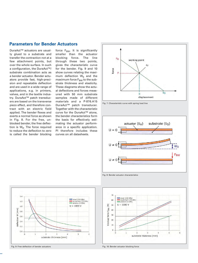### **Parameters for Bender Actuators**

DuraAct™ actuators are usually glued to a substrate and transfer the contraction not at a few attachment points, but over the whole surface. In such a configuration, the DuraAct™/ substrate combination acts as a bender actuator. Bender actuators provide fast, high-precision and repeatable deflection and are used in a wide range of applications, e.g. in printers, valves, and in the textile industry. DuraAct™ patch transducers are based on the transverse piezo effect, and therefore contract with an electric field applied. The bender flexes and exerts a normal force as shown in Fig. 8. For the free, unblocked bender, the free deflection is  $W_0$ . The force required to reduce the deflection to zero is called the bender blocking force  $F_{BW}$ . It is significantly smaller than the actuator blocking force. The line through these two points, gives the characteristic curve for the bender. Fig. 9 and 10 show curves relating the maximum deflection  $W_0$  and the maximum force  $F_{BW}$  to the substrate thickness and elasticity. These diagrams show the actual deflections and forces measured with 50 mm substrate samples made of different materials and a P-876.A15 DuraAct™ patch transducer. Together with the characteristic curve for the DuraAct™ alone, the bender characteristics form the basis for effectively estimating the actuator performance in a specific application. PI therefore includes these curves on all datasheets.



Fig. 7: Characteristic curve with spring load line



Fig. 8: Bender actuator characteristics







Fig. 10: Bender actuator blocking force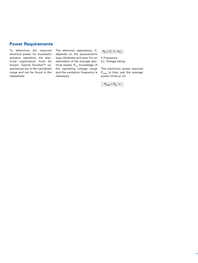### **Power Requirements**

To determine the required electrical power for successful actuator operation, the electrical capacitance must be known. Typical DuraAct™ capacitances are in the nanofarad range and can be found in the datasheets.

The electrical capacitance, C, depends on the piezoceramic type, thickness and area. For an estimation of the average electrical power,  $P_{m}$ , knowledge of the operating voltage range and the excitation frequency is necessary.

 $P_m = C \cdot f \cdot U_h^2$ 

f: Frequency Uh: Voltage swing

The maximum power required  $P_{max}$  is then just the average power times pi  $(π)$ :

 $P_{max} = P_m \cdot \pi$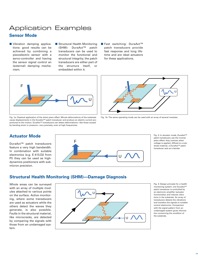## Application Examples **Sensor Mode**

- **U** Vibration damping applications: good results can be achieved by combining a piezoelectric sensor with a servo-controller and having the sensor signal control an (external) damping mechanism.
- **B** Structural Health Monitoring (SHM): DuraAct™ patch transducers can be used to monitor the functional and structural integrity; the patch transducers are either part of the structure itself, or embedded within it.
- Fast switching: DuraAct™ patch transducers provide fast response and long lifetime and are ideal actuators for these applications.



Fig. 1a: Classical application of the direct piezo effect. Minute deformations of the substrate cause displacements in the DuraAct™ patch transducer and produce an electric current proportional to the motion. DuraAct™ transducers can detect deformations—like those caused by bending strain or pressure—very precisely, even at high frequencies.



Fig. 1b: The same operating mode can be used with an array of several modules.

## **Actuator Mode**

DuraAct™ patch transducers feature a very high bandwidth. In combination with suitable electronics (e.g. E-413.D2 from PI) they can be used as highdynamics positioners with submicron precision.



Fig. 2: In actuator mode, DuraAct™ patch transducers use the inverse piezo effect: they contract when voltage is applied. Affixed to a substrate material, a DuraAct™ patch transducer acts as a bender

## **Structural Health Monitoring (SHM)—Damage Diagnosis**

Whole areas can be surveyed with an array of multiple modules attached to various points on the surface. Active monitoring, where some transducers are used as actuators while the others detect the waves they generate, is also possible. Faults in the structural material, like microcracks, are detected by comparing the signals with those from an undamaged system.



Fig. 3: Design principle for a health monitoring system: one DuraAct™ patch transducer is controlled by an electronic amplifier (actuator functionality) and induces vibrations in the substrate. An array of transducers detects the vibrations and transfers the signals to suitable control electronics. Comparison with the signal pattern from an undamaged system gives information concerning the condition of the substrate.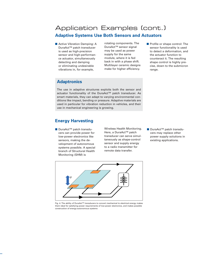## Application Examples (cont.) **Adaptive Systems Use Both Sensors and Actuators**

**Active Vibration Damping: A** DuraAct™ patch transducer is used as high-precision sensor and high-performance actuator, simultaneously detecting and damping or eliminating undesirable vibrations in, for example,

rotating components. The DuraAct™ sensor signal may be used as power supply for the same module, where it is fed back in with a phase shift. Multilayer ceramic designs make for higher efficiency.

## **Adaptronics**

The use in adaptive structures exploits both the sensor and actuator functionality of the DuraAct™ patch transducer. As smart materials, they can adapt to varying environmental conditions like impact, bending or pressure. Adaptive materials are used in particular for vibration reduction in vehicles, and their use in mechanical engineering is growing.

## **Energy Harvesting**

■ DuraAct<sup>™</sup> patch transducers can provide power for low-power electronics like sensors, making the development of autonomous systems possible. A special branch of Structural Health Monitoring (SHM) is

Wireless Health Monitoring. Here, a DuraAct™ patch transducer can serve simultaneously as shape-control sensor and supply energy to a radio transmitter for remote data transfer.

■ DuraAct<sup>™</sup> patch transducers may replace other power supply solutions in existing applications.



Fig. 4: The ability of DuraAct™ transducers to convert mechanical to electrical energy makes them ideal for satisfying power requirements of low-power electronics, and makes possible construction of energy-autonomous systems

**Profile or shape control: The** sensor functionality is used to detect a deformation, and the actuator function to counteract it. The resulting shape control is highly precise, down to the submicron range.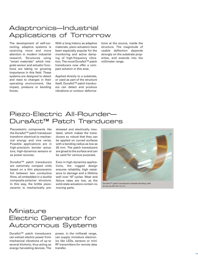## Adaptronics—Industrial Applications of Tomorrow

The development of self-correcting, adaptive systems is receiving more and more attention in modern industrial research. Structures using "smart materials" which integrate sensor and actuator functions are taking on growing importance in this field. These systems are designed to detect and react to changes in their operating environment, like impact, pressure or bending forces.

With a long history as adaptive materials, piezo actuators have been especially popular for the monitoring and active damping of high-frequency vibration. The novel DuraAct™ patch transducers now offer a compact solution in this area.

Applied directly to a substrate, or used as part of the structure itself, DuraAct™ patch tranducers can detect and produce vibrations or contour deformations at the source, inside the structure. The magnitude of usable deflection depends strongly on the substrate properties, and extends into the millimeter range.

## Piezo-Electric All-Rounder— DuraAct<sup>™</sup> Patch Tranducers

Piezoelectric components like the DuraAct™ patch transducer transform electrical to mechanical energy and vice versa. Possible applications are in high-precision bender actuators, high-dynamics sensors or as power sources.

DuraAct™ patch transducers are extremely compact units based on a thin piezoceramic foil between two conductive films, all embedded in a ductile composite-polymer structure. In this way, the brittle piezoceramic is mechanically prestressed and electrically insulated, which makes the transducers so robust that they can be applied on curved surfaces with a bending radius as low as 20 mm. The patch transducers are glued to the surface and can be used for various purposes.

Even in high-dynamics applications, the rugged design ensures reliability, high resistance to damage and a lifetime well over 10<sup>9</sup> cycles. Wear and failure rates are low, as the solid-state actuators contain no moving parts.



DuraAct™ patch transducers tolerate bending radii as low as 20 mm  $(3/4 \text{ in.})$ 

## Miniature Electric Generator for Autonomous Systems

DuraAct™ patch transducers can extract electric power from mechanical vibrations of up to several kilohertz, thus acting as energy harvesting devices. The power, in the milliwatt range, can supply miniature electronics like LEDs, sensors or mini RF transmitters for remote data transfer.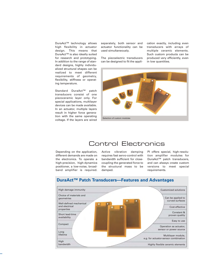DuraAct™ technology allows high flexibility in actuator design. This means that DuraAct™ is also ideally suited for research and prototyping. In addition to the range of standard designs, highly individualized structural shapes can be realized to meet different requirements of geometry, flexibility, stiffness or operating temperature.

Standard DuraAct™ patch transducers consist of one piezoceramic layer only. For special applications, multilayer devices can be made available. In an actuator, multiple layers result in higher force generation with the same operating voltage. If the layers are wired separately, both sensor and actuator functionality can be used simultaneously.

The piezoelectric transducers can be designed to fit the application exactly, including even transducers with arrays of multiple ceramic elements. Such custom products can be produced very efficiently, even in low quantities.



## Control Electronics

Depending on the application, different demands are made on the electronics. To operate a high-precision, high-dynamics positioner, a low-noise, broadband amplifier is required. Active vibration damping requires fast servo-control with bandwidth sufficient for closecoupling the generated force to the structural mass to be damped.

PI offers special, high-resolution amplifier modules for DuraAct™ patch transducers, and can always create custom versions to meet special requirements.



### **DuraAct™ Patch Transducers—Features and Advantages**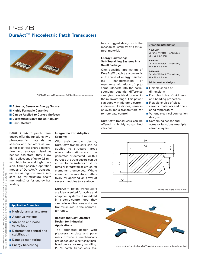## **DuraAct™ Piezoelectric Patch Transducers** P-876



P-876.A12 and .A15 actuators. Golf ball for size comparison

- **E** Actuator, Sensor or Energy Source
- $\blacksquare$  **Highly Formable Ceramics**
- **E Can be Applied to Curved Surfaces**
- **E Customized Solutions on Request**
- $\blacksquare$  Cost-Effective

P-876 DuraAct™ patch transducers offer the functionality of piezoceramic materials as sensors and actuators as well as for electrical charge generation and storage. Used as bender actuators, they allow high deflections of up to 0.8 mm with high force and high precision. Other possible operation modes of DuraAct™ transducers are as high-dynamics sensors (e.g. for structural health monitoring) or for energy harvesting.

### **Application Examples**

- High-dynamics actuators
- **Adaptive systems**
- **No. 3** Vibration and noise cancellation
- **Deformation control and** stabilization
- **Damage monitoring**
- **Energy harvesting**

#### **Integration into Adaptive Systems**

With their compact design, DuraAct™ transducers can be applied to structure areas where deformations are to be generated or detected. For this purpose the transducers can be affixed to the surfaces of structures or integrated as structural elements themselves. Whole areas can be monitored effectively by applying an array of several modules to a surface.

DuraAct™ patch transducers are ideally suited for active and adaptive systems. Embedded in a servo-control loop, they can reduce vibrations and control structures in the nanometer range.

#### **Robust and Cost-Effective Design for Industrial Applications**

The laminated design with piezoceramic plate and polymers provide a mechanically preloaded and electrically insulated device for easy handling. P-876 patch transducers feature a rugged design with the mechanical stability of a structural material.

#### **Energy Harvesting: Self-Sustaining Systems in a Small Package**

One possible application of DuraAct™ patch transducers is in the field of energy harvesting. Transformation of mechanical vibrations of up to some kilohertz into the corresponding potential difference can yield electrical power in the milliwatt range. This power can supply miniature electronic devices like diodes, sensors or even radio transmitters for remote data control.

DuraAct™ transducers can be offered in highly customized versions:

#### **Ordering Information**

**P-876.A11** DuraAct™ Patch Transducer, 61 x 35 x 0.4 mm

**P-876.A12** DuraAct™ Patch Transducer, 61 x 35 x 0.5 mm

**P-876.A15** DuraAct™ Patch Transducer, 61 x 35 x 0.8 mm

#### **Ask for custom designs!**

- **Flexible choice of** dimensions
- **Flexible choice of thickness** and bending properties
- **Flexible choice of piezo**ceramic materials and operating temperature
- **Narious electrical connection** desians
- - Combining sensor and actuator functions (multiple ceramic layers)





sheet is superseded by any new<br>w.pi.ws. R1 07/10/08.1 © PI 1998-2007. Subject to change without notice. This data sheet is superseded by any new release. The newest release is available for download at [www.pi.ws.](http://www.pi.ws) R1 07/10/08.1www.pi.ws. This data download at Subject to change without notice. for ease is avai The newest rel PI 1998-2007.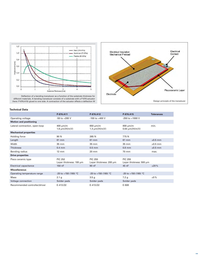



#### **Technical Data**

|                                | P-876.A11                                 | P-876.A12                                 | P-876.A15                                 | <b>Tolerances</b> |
|--------------------------------|-------------------------------------------|-------------------------------------------|-------------------------------------------|-------------------|
| Operating voltage              | $-50$ to $+200$ V                         | $-100$ to $+400$ V                        | $-250$ to $+1000$ V                       |                   |
| <b>Motion and positioning</b>  |                                           |                                           |                                           |                   |
| Lateral contraction, open-loop | $400 \mu m/m$<br>1.6 $\mu$ m/(H/m/V)      | $650 \mu m/m$<br>1.3 $\mu$ m/(H/m/V)      | $800 \mu m/m$<br>$0.64 \mu m/(H/m/V)$     | min.              |
| <b>Mechanical properties</b>   |                                           |                                           |                                           |                   |
| Holding force                  | 90 N                                      | 265 N                                     | 775 N                                     |                   |
| Length                         | 61 mm                                     | 61 mm                                     | 61 mm                                     | $±0.5$ mm         |
| Width                          | 35 mm                                     | 35 mm                                     | 35 mm                                     | $±0.5$ mm         |
| <b>Thickness</b>               | $0.4$ mm                                  | $0.5$ mm                                  | $0.8$ mm                                  | $±0.5$ mm         |
| Bending radius                 | $12 \, \text{mm}$                         | $20 \text{ mm}$                           | 70 mm                                     | max.              |
| <b>Drive properties</b>        |                                           |                                           |                                           |                   |
| Piezo ceramic type             | <b>PIC 252</b><br>Layer thickness: 100 µm | <b>PIC 255</b><br>Layer thickness: 200 µm | <b>PIC 255</b><br>Layer thickness: 500 µm |                   |
| <b>Electrical capacitance</b>  | 150 nF                                    | 90 nF                                     | 45 nF                                     | ±20%              |
| <b>Miscellaneous</b>           |                                           |                                           |                                           |                   |
| Operating temperature range    | -20 to +150 (180) °C                      | -20 to +150 (180) °C                      | -20 to +150 (180) °C                      |                   |
| Mass                           | 2.1 <sub>g</sub>                          | 3.5 <sub>g</sub>                          | 7.2 g                                     | ±5%               |
| Voltage connection             | Solder pads                               | Solder pads                               | Solder pads                               |                   |
| Recommended controller/driver  | E-413.D2                                  | E-413.D2                                  | E-508                                     |                   |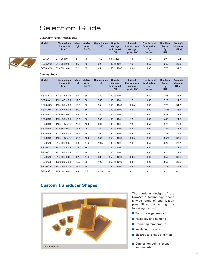## Selection Guide

#### **DuraAct™ Patch Transducers**



| <b>Model</b> | <b>Dimensions</b><br>$(1 \times w \times d)$<br>[mm] | <b>Mass</b><br>[g] | <b>Active</b><br>Area<br>[cm <sup>2</sup> ] | <b>Capacitance</b><br>[nF] | <b>Supply</b><br><b>Voltage</b><br>(min/max)<br>[V] | Lateral<br>Contraction/<br><b>Voltage</b><br>$[$ (µm/m)/V] | <b>Free Lateral</b><br><b>Contraction</b><br>$S_0$<br>[µm/m] | <b>Blocking</b><br>Force<br>$F_R$<br>[N] | Young's<br><b>Modulus</b><br>[GPa] |  |
|--------------|------------------------------------------------------|--------------------|---------------------------------------------|----------------------------|-----------------------------------------------------|------------------------------------------------------------|--------------------------------------------------------------|------------------------------------------|------------------------------------|--|
| P-876.A11    | $61 \times 35 \times 0.4$                            | 2.1                | 15                                          | 150                        | $-50$ to $200$                                      | 1.6                                                        | 450                                                          | 90                                       | 16.4                               |  |
| P-876.A12    | $61 \times 35 \times 0.5$                            | 3.5                | 15                                          | 90                         | $-100$ to 400                                       | 1.3                                                        | 650                                                          | 265                                      | 23.3                               |  |
| P-876.A15    | $61 \times 35 \times 0.8$                            | 7.2                | 15                                          | 45                         | $-250$ to $1000$                                    | 0.64                                                       | 800                                                          | 775                                      | 34.7                               |  |

#### **Coming Soon**

ŕ

| <b>Model</b> | <b>Dimensions</b><br>$(1 \times w \times d)$<br>[mm] | <b>Mass</b><br>[g] | <b>Active</b><br>Area<br>[cm <sup>2</sup> ] | <b>Capacitance</b><br>[nF] | <b>Supply</b><br><b>Voltage</b><br>(min/max)<br>[V] | Lateral<br>Contraction/<br><b>Voltage</b><br>$[(\mu m/m)/V]$ | <b>Free Lateral</b><br><b>Contraction</b><br>$S_{0}$<br>[µm/m] | <b>Blocking</b><br><b>Force</b><br>$F_R$<br>[N] | Young's<br><b>Modulus</b><br>[GPa] |  |
|--------------|------------------------------------------------------|--------------------|---------------------------------------------|----------------------------|-----------------------------------------------------|--------------------------------------------------------------|----------------------------------------------------------------|-------------------------------------------------|------------------------------------|--|
| P-876.A22    | $113 \times 35 \times 0.5$                           | 6.5                | 30                                          | 180                        | $-100$ to $400$                                     | 1.3                                                          | 650                                                            | 265                                             | 23.3                               |  |
| P-876.A42    | $113 \times 67 \times 0.5$                           | 12.5               | 60                                          | 360                        | $-100$ to $400$                                     | 1.3                                                          | 650                                                            | 527                                             | 24.2                               |  |
| P-876.A25    | $113 \times 35 \times 0.8$                           | 13.5               | 30                                          | 90                         | -250 to 1000                                        | 0.64                                                         | 800                                                            | 775                                             | 34.7                               |  |
| P-876.A45    | $113 \times 67 \times 0.8$                           | 27.0               | 60                                          | 180                        | -250 to 1000                                        | 0.64                                                         | 800                                                            | 1546                                            | 36.1                               |  |
| P-876.B12    | $61 \times 55 \times 0.5$                            | 5.5                | 25                                          | 150                        | $-100$ to $400$                                     | 1.3                                                          | 650                                                            | 438                                             | 24.5                               |  |
| P-876.B22    | $113 \times 55 \times 0.5$                           | 10.0               | 50                                          | 300                        | -100 to 400                                         | 1.3                                                          | 650                                                            | 438                                             | 24.5                               |  |
| P-876.B42    | $113 \times 107 \times 0.5$                          | 20.0               | 100                                         | 600                        | $-100$ to $400$                                     | 1.3                                                          | 650                                                            | 873                                             | 25.1                               |  |
| P-876.B15    | $61 \times 55 \times 0.8$                            | 11.5               | 25                                          | 75                         | -250 to 1000                                        | 0.64                                                         | 800                                                            | 1290                                            | 36.6                               |  |
| P-876.B25    | $113 \times 55 \times 0.8$                           | 21.5               | 50                                          | 150                        | -250 to 1000                                        | 0.64                                                         | 800                                                            | 1290                                            | 36.6                               |  |
| P-876.B45    | $113 \times 107 \times 0.8$                          | 43.0               | 100                                         | 300                        | -250 to 1000                                        | 0.64                                                         | 800                                                            | 2570                                            | 37.5                               |  |
| P-876.C12    | $81 \times 30 \times 0.5$                            | 4.0                | 17.5                                        | 10.5                       | $-100$ to $400$                                     | 1.3                                                          | 650                                                            | 220                                             | 22.7                               |  |
| P-876.C22    | $153 \times 30 \times 0.5$                           | 7.5                | 35                                          | 210                        | $-100$ to $400$                                     | 1.3                                                          | 650                                                            | 220                                             | 22.7                               |  |
| P-876.C42    | $153 \times 57 \times 0.5$                           | 15.0               | 70                                          | 420                        | $-100$ to $400$                                     | 1.3                                                          | 650                                                            | 440                                             | 23.8                               |  |
| P-876.C15    | $81 \times 30 \times 0.8$                            | 8.2                | 17.5                                        | 53                         | -250 to 1000                                        | 0.64                                                         | 800                                                            | 650                                             | 33.8                               |  |
| P-876.C25    | $153 \times 30 \times 0.8$                           | 16.0               | 35                                          | 105                        | -250 to 1000                                        | 0.64                                                         | 800                                                            | 650                                             | 33.8                               |  |
| P-876.C45    | $153 \times 57 \times 0.8$                           | 31.5               | 70                                          | 210                        | -250 to 1000                                        | 0.64                                                         | 800                                                            | 1290                                            | 35.4                               |  |
| P-876.SP1    | $27 \times 15 \times 0.5$                            | 0.5                | 0.8                                         | 4.75                       |                                                     |                                                              |                                                                |                                                 |                                    |  |

## **Custom Transducer Shapes**



The modular design of the DuraAct™ technology opens a wide range of optimization possibilities concerning the following features:

- **Transducer geometry**
- **Flexibility and bending**
- **Operating temperature**
- **Insulating material**
- **Electrodes, shape and mate**rial
- **Connection points, shape** and material